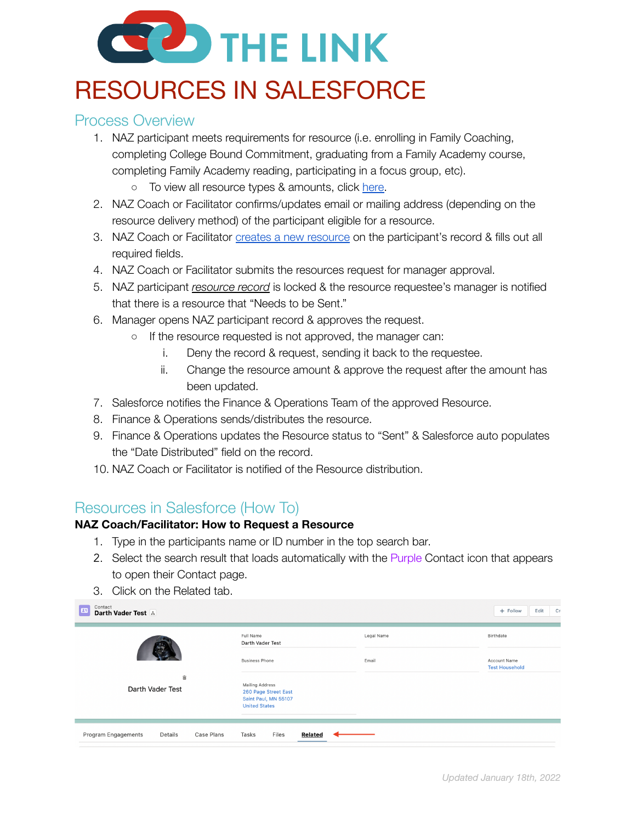# **BO** THE LINK

# RESOURCES IN SALESFORCE

## Process Overview

- 1. NAZ participant meets requirements for resource (i.e. enrolling in Family Coaching, completing College Bound Commitment, graduating from a Family Academy course, completing Family Academy reading, participating in a focus group, etc).
	- o To view all resource types & amounts, click [here.](https://docs.google.com/document/d/1RIYljdLDX0A3CDuiSR8L2ifZrGa4DJBUSOP5NUEL-zE/edit?usp=sharing)
- 2. NAZ Coach or Facilitator confirms/updates email or mailing address (depending on the resource delivery method) of the participant eligible for a resource.
- 3. NAZ Coach or Facilitator creates a new [resource](https://docs.google.com/document/d/1R7AwK-BxyEkI33_5EPVHZ3AHse7__WIx/edit?usp=sharing&ouid=103129754150599627174&rtpof=true&sd=true) on the participant's record & fills out all required fields.
- 4. NAZ Coach or Facilitator submits the resources request for manager approval.
- 5. NAZ participant *resource record* is locked & the resource requestee's manager is notified that there is a resource that "Needs to be Sent."
- 6. Manager opens NAZ participant record & approves the request.
	- If the resource requested is not approved, the manager can:
		- i. Deny the record & request, sending it back to the requestee.
		- ii. Change the resource amount & approve the request after the amount has been updated.
- 7. Salesforce notifies the Finance & Operations Team of the approved Resource.
- 8. Finance & Operations sends/distributes the resource.
- 9. Finance & Operations updates the Resource status to "Sent" & Salesforce auto populates the "Date Distributed" field on the record.
- 10. NAZ Coach or Facilitator is notified of the Resource distribution.

# Resources in Salesforce (How To)

#### **NAZ Coach/Facilitator: How to Request a Resource**

- 1. Type in the participants name or ID number in the top search bar.
- 2. Select the search result that loads automatically with the Purple Contact icon that appears to open their Contact page.
- 3. Click on the Related tab.

| Contact<br>四<br>Darth Vader Test A           |                                                                                         |            | + Follow<br>Edit<br>Cn                |
|----------------------------------------------|-----------------------------------------------------------------------------------------|------------|---------------------------------------|
|                                              | Full Name<br>Darth Vader Test                                                           | Legal Name | Birthdate                             |
|                                              | <b>Business Phone</b>                                                                   | Email      | Account Name<br><b>Test Household</b> |
| 啬<br>Darth Vader Test                        | Mailing Address<br>260 Page Street East<br>Saint Paul, MN 55107<br><b>United States</b> |            |                                       |
| Program Engagements<br>Case Plans<br>Details | Files<br>Tasks<br>Related                                                               |            |                                       |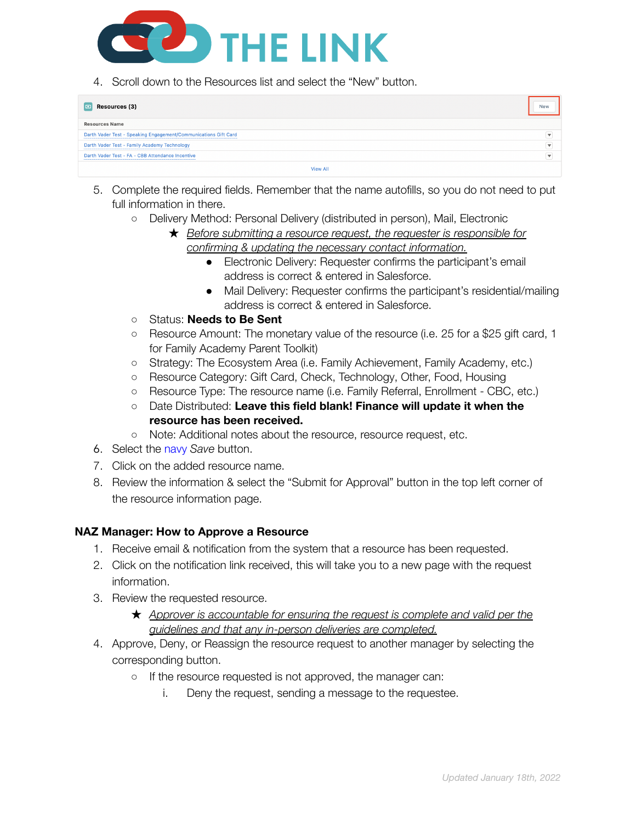

4. Scroll down to the Resources list and select the "New" button.

| Resources (3)<br>o                                              | <b>New</b>              |
|-----------------------------------------------------------------|-------------------------|
| <b>Resources Name</b>                                           |                         |
| Darth Vader Test - Speaking Engagement/Communications Gift Card |                         |
| Darth Vader Test - Family Academy Technology                    | $\overline{\mathbf{v}}$ |
| Darth Vader Test - FA - CBB Attendance Incentive                |                         |
| <b>View All</b>                                                 |                         |

- 5. Complete the required fields. Remember that the name autofills, so you do not need to put full information in there.
	- Delivery Method: Personal Delivery (distributed in person), Mail, Electronic
		- ★ *Before submitting a resource request, the requester is responsible for confirming & updating the necessary contact information.*
			- Electronic Delivery: Requester confirms the participant's email address is correct & entered in Salesforce.
			- Mail Delivery: Requester confirms the participant's residential/mailing address is correct & entered in Salesforce.
	- Status: **Needs to Be Sent**
	- Resource Amount: The monetary value of the resource (i.e. 25 for a \$25 gift card, 1 for Family Academy Parent Toolkit)
	- Strategy: The Ecosystem Area (i.e. Family Achievement, Family Academy, etc.)
	- Resource Category: Gift Card, Check, Technology, Other, Food, Housing
	- Resource Type: The resource name (i.e. Family Referral, Enrollment CBC, etc.)
	- Date Distributed: **Leave this field blank! Finance will update it when the resource has been received.**
	- **○** Note: Additional notes about the resource, resource request, etc.
- 6. Select the navy *Save* button.
- 7. Click on the added resource name.
- 8. Review the information & select the "Submit for Approval" button in the top left corner of the resource information page.

#### **NAZ Manager: How to Approve a Resource**

- 1. Receive email & notification from the system that a resource has been requested.
- 2. Click on the notification link received, this will take you to a new page with the request information.
- 3. Review the requested resource.
	- ★ *Approver is accountable for ensuring the request is complete and valid per the guidelines and that any in-person deliveries are completed.*
- 4. Approve, Deny, or Reassign the resource request to another manager by selecting the corresponding button.
	- If the resource requested is not approved, the manager can:
		- i. Deny the request, sending a message to the requestee.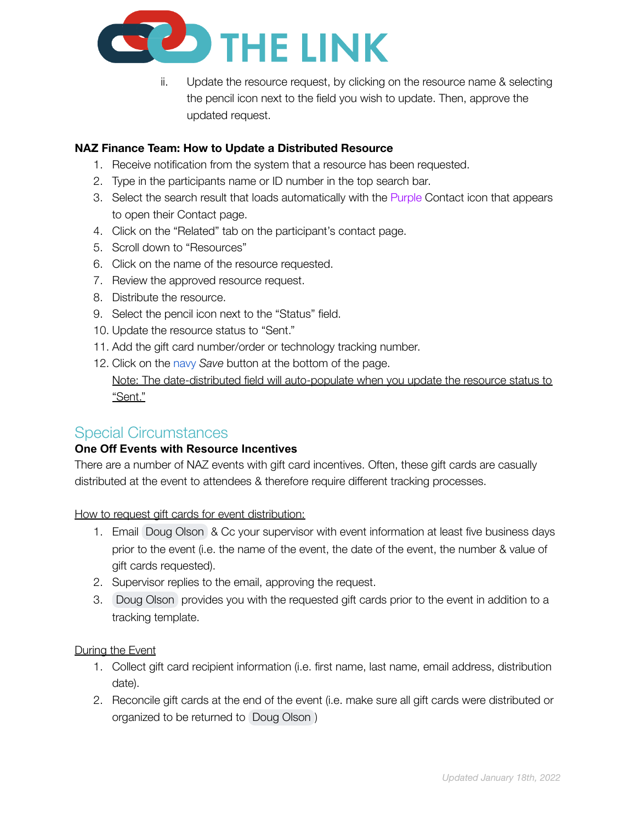

ii. Update the resource request, by clicking on the resource name & selecting the pencil icon next to the field you wish to update. Then, approve the updated request.

#### **NAZ Finance Team: How to Update a Distributed Resource**

- 1. Receive notification from the system that a resource has been requested.
- 2. Type in the participants name or ID number in the top search bar.
- 3. Select the search result that loads automatically with the Purple Contact icon that appears to open their Contact page.
- 4. Click on the "Related" tab on the participant's contact page.
- 5. Scroll down to "Resources"
- 6. Click on the name of the resource requested.
- 7. Review the approved resource request.
- 8. Distribute the resource.
- 9. Select the pencil icon next to the "Status" field.
- 10. Update the resource status to "Sent."
- 11. Add the gift card number/order or technology tracking number.
- 12. Click on the navy *Save* button at the bottom of the page. Note: The date-distributed field will auto-populate when you update the resource status to "Sent."

### Special Circumstances

#### **One Off Events with Resource Incentives**

There are a number of NAZ events with gift card incentives. Often, these gift cards are casually distributed at the event to attendees & therefore require different tracking processes.

How to request gift cards for event distribution:

- 1. Email Doug [Olson](mailto:dolson@the-naz.org) & Cc your supervisor with event information at least five business days prior to the event (i.e. the name of the event, the date of the event, the number & value of gift cards requested).
- 2. Supervisor replies to the email, approving the request.
- 3. Doug [Olson](mailto:dolson@the-naz.org) provides you with the requested gift cards prior to the event in addition to a tracking template.

#### During the Event

- 1. Collect gift card recipient information (i.e. first name, last name, email address, distribution date).
- 2. Reconcile gift cards at the end of the event (i.e. make sure all gift cards were distributed or organized to be returned to Doug [Olson](mailto:dolson@the-naz.org) )